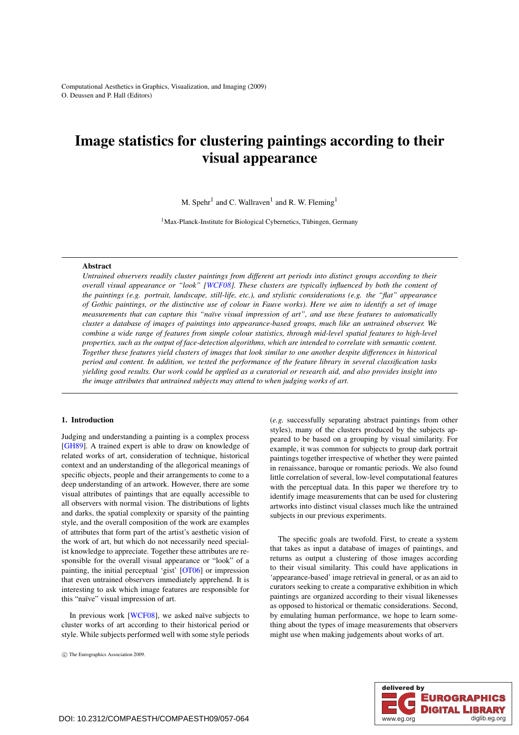Computational Aesthetics in Graphics, Visualization, and Imaging (2009) O. Deussen and P. Hall (Editors)

# Image statistics for clustering paintings according to their visual appearance

M. Spehr<sup>1</sup> and C. Wallraven<sup>1</sup> and R. W. Fleming<sup>1</sup>

<sup>1</sup>Max-Planck-Institute for Biological Cybernetics, Tübingen, Germany

#### **Abstract**

*Untrained observers readily cluster paintings from different art periods into distinct groups according to their overall visual appearance or "look" [\[WCF08\]](#page-7-0). These clusters are typically influenced by both the content of the paintings (e.g. portrait, landscape, still-life, etc.), and stylistic considerations (e.g. the "flat" appearance of Gothic paintings, or the distinctive use of colour in Fauve works). Here we aim to identify a set of image measurements that can capture this "naïve visual impression of art", and use these features to automatically cluster a database of images of paintings into appearance-based groups, much like an untrained observer. We combine a wide range of features from simple colour statistics, through mid-level spatial features to high-level properties, such as the output of face-detection algorithms, which are intended to correlate with semantic content. Together these features yield clusters of images that look similar to one another despite differences in historical period and content. In addition, we tested the performance of the feature library in several classification tasks yielding good results. Our work could be applied as a curatorial or research aid, and also provides insight into the image attributes that untrained subjects may attend to when judging works of art.*

# 1. Introduction

Judging and understanding a painting is a complex process [\[GH89\]](#page-7-1). A trained expert is able to draw on knowledge of related works of art, consideration of technique, historical context and an understanding of the allegorical meanings of specific objects, people and their arrangements to come to a deep understanding of an artwork. However, there are some visual attributes of paintings that are equally accessible to all observers with normal vision. The distributions of lights and darks, the spatial complexity or sparsity of the painting style, and the overall composition of the work are examples of attributes that form part of the artist's aesthetic vision of the work of art, but which do not necessarily need specialist knowledge to appreciate. Together these attributes are responsible for the overall visual appearance or "look" of a painting, the initial perceptual 'gist' [\[OT06\]](#page-7-2) or impression that even untrained observers immediately apprehend. It is interesting to ask which image features are responsible for this "naïve" visual impression of art.

In previous work [\[WCF08\]](#page-7-0), we asked naïve subjects to cluster works of art according to their historical period or style. While subjects performed well with some style periods

c The Eurographics Association 2009.

(*e.g.* successfully separating abstract paintings from other styles), many of the clusters produced by the subjects appeared to be based on a grouping by visual similarity. For example, it was common for subjects to group dark portrait paintings together irrespective of whether they were painted in renaissance, baroque or romantic periods. We also found little correlation of several, low-level computational features with the perceptual data. In this paper we therefore try to identify image measurements that can be used for clustering artworks into distinct visual classes much like the untrained subjects in our previous experiments.

The specific goals are twofold. First, to create a system that takes as input a database of images of paintings, and returns as output a clustering of those images according to their visual similarity. This could have applications in 'appearance-based' image retrieval in general, or as an aid to curators seeking to create a comparative exhibition in which paintings are organized according to their visual likenesses as opposed to historical or thematic considerations. Second, by emulating human performance, we hope to learn something about the types of image measurements that observers might use when making judgements about works of art.

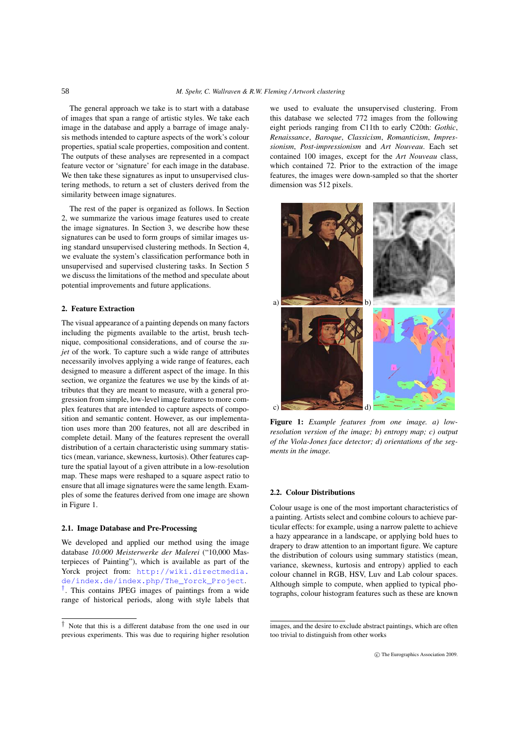The general approach we take is to start with a database of images that span a range of artistic styles. We take each image in the database and apply a barrage of image analysis methods intended to capture aspects of the work's colour properties, spatial scale properties, composition and content. The outputs of these analyses are represented in a compact feature vector or 'signature' for each image in the database. We then take these signatures as input to unsupervised clustering methods, to return a set of clusters derived from the similarity between image signatures.

The rest of the paper is organized as follows. In Section 2, we summarize the various image features used to create the image signatures. In Section 3, we describe how these signatures can be used to form groups of similar images using standard unsupervised clustering methods. In Section 4, we evaluate the system's classification performance both in unsupervised and supervised clustering tasks. In Section 5 we discuss the limitations of the method and speculate about potential improvements and future applications.

# 2. Feature Extraction

The visual appearance of a painting depends on many factors including the pigments available to the artist, brush technique, compositional considerations, and of course the *sujet* of the work. To capture such a wide range of attributes necessarily involves applying a wide range of features, each designed to measure a different aspect of the image. In this section, we organize the features we use by the kinds of attributes that they are meant to measure, with a general progression from simple, low-level image features to more complex features that are intended to capture aspects of composition and semantic content. However, as our implementation uses more than 200 features, not all are described in complete detail. Many of the features represent the overall distribution of a certain characteristic using summary statistics (mean, variance, skewness, kurtosis). Other features capture the spatial layout of a given attribute in a low-resolution map. These maps were reshaped to a square aspect ratio to ensure that all image signatures were the same length. Examples of some the features derived from one image are shown in Figure 1.

#### 2.1. Image Database and Pre-Processing

We developed and applied our method using the image database *10.000 Meisterwerke der Malerei* ("10,000 Masterpieces of Painting"), which is available as part of the Yorck project from: [http://wiki.directmedia.](http://wiki.directmedia.de/index.de/index.php/The_Yorck_Project) [de/index.de/index.php/The\\_Yorck\\_Project](http://wiki.directmedia.de/index.de/index.php/The_Yorck_Project).<br><sup>[†](#page-1-0)</sup>. This contains JPEG images of paintings from a wide range of historical periods, along with style labels that we used to evaluate the unsupervised clustering. From this database we selected 772 images from the following eight periods ranging from C11th to early C20th: *Gothic*, *Renaissance*, *Baroque*, *Classicism*, *Romanticism*, *Impressionism*, *Post-impressionism* and *Art Nouveau*. Each set contained 100 images, except for the *Art Nouveau* class, which contained 72. Prior to the extraction of the image features, the images were down-sampled so that the shorter dimension was 512 pixels.



Figure 1: *Example features from one image. a) lowresolution version of the image; b) entropy map; c) output of the Viola-Jones face detector; d) orientations of the segments in the image.*

#### 2.2. Colour Distributions

Colour usage is one of the most important characteristics of a painting. Artists select and combine colours to achieve particular effects: for example, using a narrow palette to achieve a hazy appearance in a landscape, or applying bold hues to drapery to draw attention to an important figure. We capture the distribution of colours using summary statistics (mean, variance, skewness, kurtosis and entropy) applied to each colour channel in RGB, HSV, Luv and Lab colour spaces. Although simple to compute, when applied to typical photographs, colour histogram features such as these are known

# 58

<span id="page-1-0"></span><sup>†</sup> Note that this is a different database from the one used in our previous experiments. This was due to requiring higher resolution

images, and the desire to exclude abstract paintings, which are often too trivial to distinguish from other works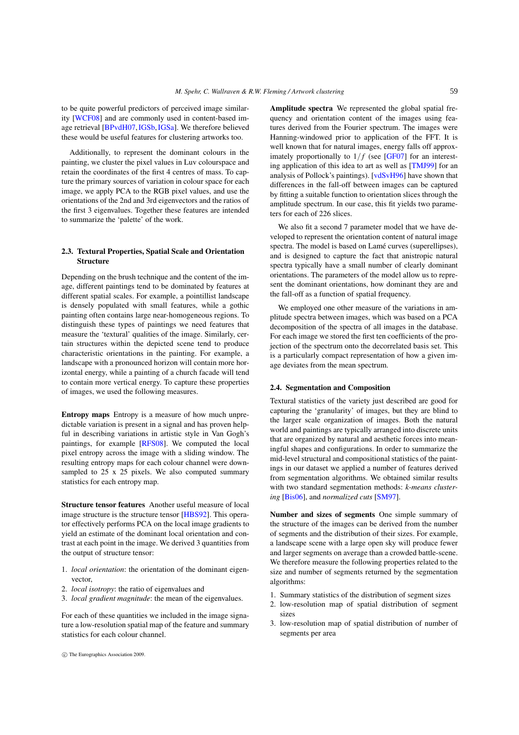to be quite powerful predictors of perceived image similarity [\[WCF08\]](#page-7-0) and are commonly used in content-based image retrieval [\[BPvdH07,](#page-7-3)[IGSb,](#page-7-4)[IGSa\]](#page-7-5). We therefore believed these would be useful features for clustering artworks too.

Additionally, to represent the dominant colours in the painting, we cluster the pixel values in Luv colourspace and retain the coordinates of the first 4 centres of mass. To capture the primary sources of variation in colour space for each image, we apply PCA to the RGB pixel values, and use the orientations of the 2nd and 3rd eigenvectors and the ratios of the first 3 eigenvalues. Together these features are intended to summarize the 'palette' of the work.

# 2.3. Textural Properties, Spatial Scale and Orientation **Structure**

Depending on the brush technique and the content of the image, different paintings tend to be dominated by features at different spatial scales. For example, a pointillist landscape is densely populated with small features, while a gothic painting often contains large near-homogeneous regions. To distinguish these types of paintings we need features that measure the 'textural' qualities of the image. Similarly, certain structures within the depicted scene tend to produce characteristic orientations in the painting. For example, a landscape with a pronounced horizon will contain more horizontal energy, while a painting of a church facade will tend to contain more vertical energy. To capture these properties of images, we used the following measures.

Entropy maps Entropy is a measure of how much unpredictable variation is present in a signal and has proven helpful in describing variations in artistic style in Van Gogh's paintings, for example [\[RFS08\]](#page-7-6). We computed the local pixel entropy across the image with a sliding window. The resulting entropy maps for each colour channel were downsampled to 25 x 25 pixels. We also computed summary statistics for each entropy map.

Structure tensor features Another useful measure of local image structure is the structure tensor [\[HBS92\]](#page-7-7). This operator effectively performs PCA on the local image gradients to yield an estimate of the dominant local orientation and contrast at each point in the image. We derived 3 quantities from the output of structure tensor:

- 1. *local orientation*: the orientation of the dominant eigenvector,
- 2. *local isotropy*: the ratio of eigenvalues and
- 3. *local gradient magnitude*: the mean of the eigenvalues.

For each of these quantities we included in the image signature a low-resolution spatial map of the feature and summary statistics for each colour channel.

c The Eurographics Association 2009.

Amplitude spectra We represented the global spatial frequency and orientation content of the images using features derived from the Fourier spectrum. The images were Hanning-windowed prior to application of the FFT. It is well known that for natural images, energy falls off approximately proportionally to  $1/f$  (see [\[GF07\]](#page-7-8) for an interesting application of this idea to art as well as [\[TMJ99\]](#page-7-9) for an analysis of Pollock's paintings). [\[vdSvH96\]](#page-7-10) have shown that differences in the fall-off between images can be captured by fitting a suitable function to orientation slices through the amplitude spectrum. In our case, this fit yields two parameters for each of 226 slices.

We also fit a second 7 parameter model that we have developed to represent the orientation content of natural image spectra. The model is based on Lamé curves (superellipses), and is designed to capture the fact that anistropic natural spectra typically have a small number of clearly dominant orientations. The parameters of the model allow us to represent the dominant orientations, how dominant they are and the fall-off as a function of spatial frequency.

We employed one other measure of the variations in amplitude spectra between images, which was based on a PCA decomposition of the spectra of all images in the database. For each image we stored the first ten coefficients of the projection of the spectrum onto the decorrelated basis set. This is a particularly compact representation of how a given image deviates from the mean spectrum.

#### 2.4. Segmentation and Composition

Textural statistics of the variety just described are good for capturing the 'granularity' of images, but they are blind to the larger scale organization of images. Both the natural world and paintings are typically arranged into discrete units that are organized by natural and aesthetic forces into meaningful shapes and configurations. In order to summarize the mid-level structural and compositional statistics of the paintings in our dataset we applied a number of features derived from segmentation algorithms. We obtained similar results with two standard segmentation methods: *k-means clustering* [\[Bis06\]](#page-7-11), and *normalized cuts* [\[SM97\]](#page-7-12).

Number and sizes of segments One simple summary of the structure of the images can be derived from the number of segments and the distribution of their sizes. For example, a landscape scene with a large open sky will produce fewer and larger segments on average than a crowded battle-scene. We therefore measure the following properties related to the size and number of segments returned by the segmentation algorithms:

- 1. Summary statistics of the distribution of segment sizes
- 2. low-resolution map of spatial distribution of segment sizes
- 3. low-resolution map of spatial distribution of number of segments per area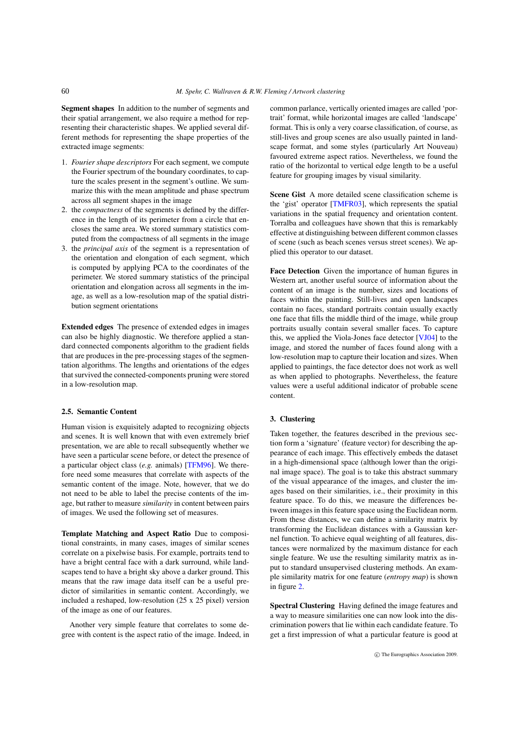Segment shapes In addition to the number of segments and their spatial arrangement, we also require a method for representing their characteristic shapes. We applied several different methods for representing the shape properties of the extracted image segments:

- 1. *Fourier shape descriptors* For each segment, we compute the Fourier spectrum of the boundary coordinates, to capture the scales present in the segment's outline. We summarize this with the mean amplitude and phase spectrum across all segment shapes in the image
- 2. the *compactness* of the segments is defined by the difference in the length of its perimeter from a circle that encloses the same area. We stored summary statistics computed from the compactness of all segments in the image
- 3. the *principal axis* of the segment is a representation of the orientation and elongation of each segment, which is computed by applying PCA to the coordinates of the perimeter. We stored summary statistics of the principal orientation and elongation across all segments in the image, as well as a low-resolution map of the spatial distribution segment orientations

Extended edges The presence of extended edges in images can also be highly diagnostic. We therefore applied a standard connected components algorithm to the gradient fields that are produces in the pre-processing stages of the segmentation algorithms. The lengths and orientations of the edges that survived the connected-components pruning were stored in a low-resolution map.

# 2.5. Semantic Content

Human vision is exquisitely adapted to recognizing objects and scenes. It is well known that with even extremely brief presentation, we are able to recall subsequently whether we have seen a particular scene before, or detect the presence of a particular object class (*e.g.* animals) [\[TFM96\]](#page-7-13). We therefore need some measures that correlate with aspects of the semantic content of the image. Note, however, that we do not need to be able to label the precise contents of the image, but rather to measure *similarity* in content between pairs of images. We used the following set of measures.

Template Matching and Aspect Ratio Due to compositional constraints, in many cases, images of similar scenes correlate on a pixelwise basis. For example, portraits tend to have a bright central face with a dark surround, while landscapes tend to have a bright sky above a darker ground. This means that the raw image data itself can be a useful predictor of similarities in semantic content. Accordingly, we included a reshaped, low-resolution (25 x 25 pixel) version of the image as one of our features.

Another very simple feature that correlates to some degree with content is the aspect ratio of the image. Indeed, in common parlance, vertically oriented images are called 'portrait' format, while horizontal images are called 'landscape' format. This is only a very coarse classification, of course, as still-lives and group scenes are also usually painted in landscape format, and some styles (particularly Art Nouveau) favoured extreme aspect ratios. Nevertheless, we found the ratio of the horizontal to vertical edge length to be a useful feature for grouping images by visual similarity.

Scene Gist A more detailed scene classification scheme is the 'gist' operator [\[TMFR03\]](#page-7-14), which represents the spatial variations in the spatial frequency and orientation content. Torralba and colleagues have shown that this is remarkably effective at distinguishing between different common classes of scene (such as beach scenes versus street scenes). We applied this operator to our dataset.

Face Detection Given the importance of human figures in Western art, another useful source of information about the content of an image is the number, sizes and locations of faces within the painting. Still-lives and open landscapes contain no faces, standard portraits contain usually exactly one face that fills the middle third of the image, while group portraits usually contain several smaller faces. To capture this, we applied the Viola-Jones face detector [\[VJ04\]](#page-7-15) to the image, and stored the number of faces found along with a low-resolution map to capture their location and sizes. When applied to paintings, the face detector does not work as well as when applied to photographs. Nevertheless, the feature values were a useful additional indicator of probable scene content.

# 3. Clustering

Taken together, the features described in the previous section form a 'signature' (feature vector) for describing the appearance of each image. This effectively embeds the dataset in a high-dimensional space (although lower than the original image space). The goal is to take this abstract summary of the visual appearance of the images, and cluster the images based on their similarities, i.e., their proximity in this feature space. To do this, we measure the differences between images in this feature space using the Euclidean norm. From these distances, we can define a similarity matrix by transforming the Euclidean distances with a Gaussian kernel function. To achieve equal weighting of all features, distances were normalized by the maximum distance for each single feature. We use the resulting similarity matrix as input to standard unsupervised clustering methods. An example similarity matrix for one feature (*entropy map*) is shown in figure [2.](#page-4-0)

Spectral Clustering Having defined the image features and a way to measure similarities one can now look into the discrimination powers that lie within each candidate feature. To get a first impression of what a particular feature is good at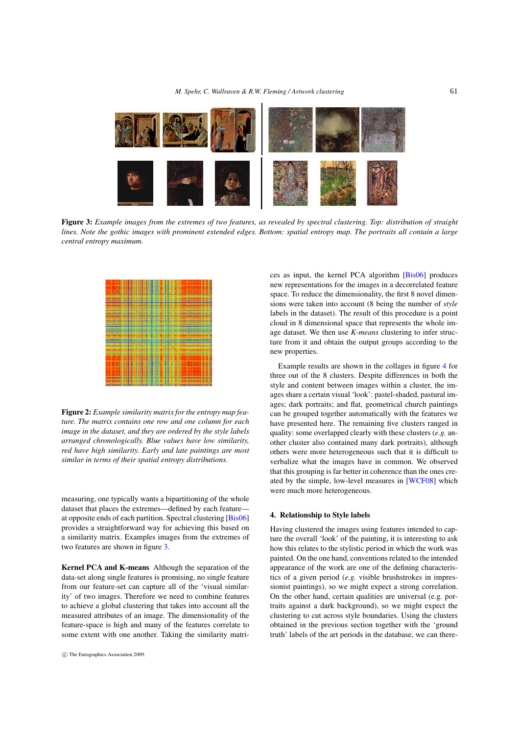<span id="page-4-1"></span>

Figure 3: *Example images from the extremes of two features, as revealed by spectral clustering. Top: distribution of straight lines. Note the gothic images with prominent extended edges. Bottom: spatial entropy map. The portraits all contain a large central entropy maximum.*



<span id="page-4-0"></span>Figure 2: *Example similarity matrix for the entropy map feature. The matrix contains one row and one column for each image in the dataset, and they are ordered by the style labels arranged chronologically. Blue values have low similarity, red have high similarity. Early and late paintings are most similar in terms of their spatial entropy distributions.*

measuring, one typically wants a bipartitioning of the whole dataset that places the extremes—defined by each feature at opposite ends of each partition. Spectral clustering [\[Bis06\]](#page-7-11) provides a straightforward way for achieving this based on a similarity matrix. Examples images from the extremes of two features are shown in figure [3.](#page-4-1)

Kernel PCA and K-means Although the separation of the data-set along single features is promising, no single feature from our feature-set can capture all of the 'visual similarity' of two images. Therefore we need to combine features to achieve a global clustering that takes into account all the measured attributes of an image. The dimensionality of the feature-space is high and many of the features correlate to some extent with one another. Taking the similarity matrices as input, the kernel PCA algorithm [\[Bis06\]](#page-7-11) produces new representations for the images in a decorrelated feature space. To reduce the dimensionality, the first 8 novel dimensions were taken into account (8 being the number of *style* labels in the dataset). The result of this procedure is a point cloud in 8 dimensional space that represents the whole image dataset. We then use *K-means* clustering to infer structure from it and obtain the output groups according to the new properties.

Example results are shown in the collages in figure [4](#page-5-0) for three out of the 8 clusters. Despite differences in both the style and content between images within a cluster, the images share a certain visual 'look': pastel-shaded, pastural images; dark portraits; and flat, geometrical church paintings can be grouped together automatically with the features we have presented here. The remaining five clusters ranged in quality: some overlapped clearly with these clusters (*e.g.* another cluster also contained many dark portraits), although others were more heterogeneous such that it is difficult to verbalize what the images have in common. We observed that this grouping is far better in coherence than the ones created by the simple, low-level measures in [\[WCF08\]](#page-7-0) which were much more heterogeneous.

#### 4. Relationship to Style labels

Having clustered the images using features intended to capture the overall 'look' of the painting, it is interesting to ask how this relates to the stylistic period in which the work was painted. On the one hand, conventions related to the intended appearance of the work are one of the defining characteristics of a given period (*e.g.* visible brushstrokes in impressionist paintings), so we might expect a strong correlation. On the other hand, certain qualities are universal (e.g. portraits against a dark background), so we might expect the clustering to cut across style boundaries. Using the clusters obtained in the previous section together with the 'ground truth' labels of the art periods in the database, we can there-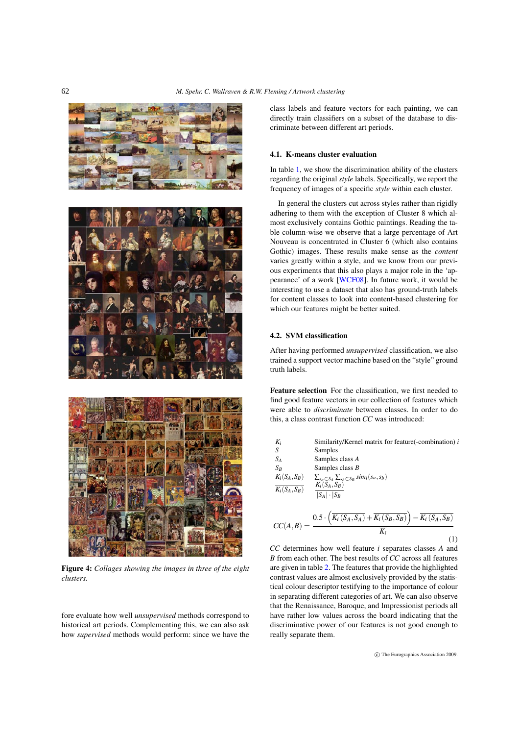





Figure 4: *Collages showing the images in three of the eight clusters.*

<span id="page-5-0"></span>fore evaluate how well *unsupervised* methods correspond to historical art periods. Complementing this, we can also ask how *supervised* methods would perform: since we have the class labels and feature vectors for each painting, we can directly train classifiers on a subset of the database to discriminate between different art periods.

# 4.1. K-means cluster evaluation

In table [1,](#page-6-0) we show the discrimination ability of the clusters regarding the original *style* labels. Specifically, we report the frequency of images of a specific *style* within each cluster.

In general the clusters cut across styles rather than rigidly adhering to them with the exception of Cluster 8 which almost exclusively contains Gothic paintings. Reading the table column-wise we observe that a large percentage of Art Nouveau is concentrated in Cluster 6 (which also contains Gothic) images. These results make sense as the *content* varies greatly within a style, and we know from our previous experiments that this also plays a major role in the 'appearance' of a work [\[WCF08\]](#page-7-0). In future work, it would be interesting to use a dataset that also has ground-truth labels for content classes to look into content-based clustering for which our features might be better suited.

# 4.2. SVM classification

After having performed *unsupervised* classification, we also trained a support vector machine based on the "style" ground truth labels.

Feature selection For the classification, we first needed to find good feature vectors in our collection of features which were able to *discriminate* between classes. In order to do this, a class contrast function *CC* was introduced:

| $K_i$           | Similarity/Kernel matrix for feature(-combination) i    |
|-----------------|---------------------------------------------------------|
| S               | Samples                                                 |
| $S_A$           | Samples class A                                         |
| $S_R$           | Samples class $B$                                       |
| $K_i(S_A, S_B)$ | $\sum_{s_a \in S_A} \sum_{s_b \in S_B} sim_i(s_a, s_b)$ |

$$
\frac{K_i(S_A, S_B)}{|S_A| \cdot |S_B|}
$$

$$
CC(A,B) = \frac{0.5 \cdot \left(\overline{K_i(S_A, S_A)} + \overline{K_i(S_B, S_B)}\right) - \overline{K_i(S_A, S_B)}}{\overline{K_i}}
$$
(1)

*CC* determines how well feature *i* separates classes *A* and *B* from each other. The best results of *CC* across all features are given in table [2.](#page-6-1) The features that provide the highlighted contrast values are almost exclusively provided by the statistical colour descriptor testifying to the importance of colour in separating different categories of art. We can also observe that the Renaissance, Baroque, and Impressionist periods all have rather low values across the board indicating that the discriminative power of our features is not good enough to really separate them.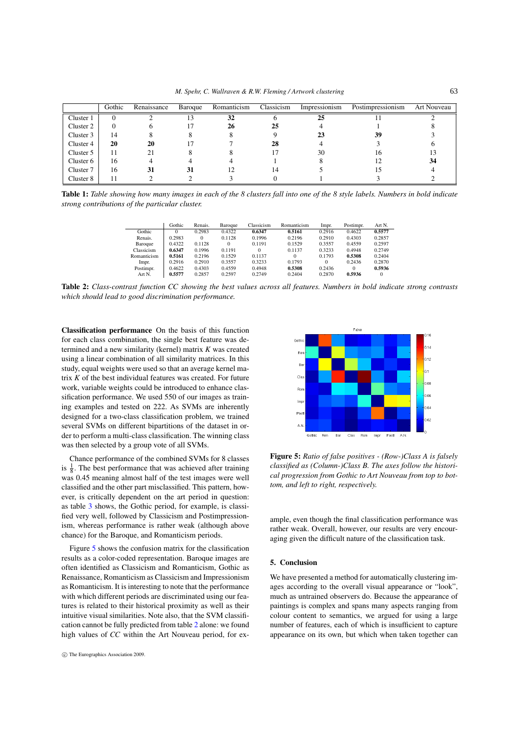|           | Gothic | Renaissance | Baroque | Romanticism | Classicism | Impressionism | Postimpressionism | <b>Art Nouveau</b> |
|-----------|--------|-------------|---------|-------------|------------|---------------|-------------------|--------------------|
| Cluster 1 |        |             | 13      | 32          |            | 25            |                   |                    |
| Cluster 2 |        |             |         | 26          | 25         |               |                   |                    |
| Cluster 3 | 14     |             |         |             |            | 23            | 39                |                    |
| Cluster 4 | 20     | 20          |         |             | 28         |               |                   |                    |
| Cluster 5 |        | 21          |         |             |            | 30            | ıь                |                    |
| Cluster 6 | 16     |             |         |             |            |               |                   | 34                 |
| Cluster 7 | 16     | 31          | 31      | 12          | 14         |               |                   |                    |
| Cluster 8 |        |             |         |             |            |               |                   |                    |

<span id="page-6-0"></span>Table 1: *Table showing how many images in each of the 8 clusters fall into one of the 8 style labels. Numbers in bold indicate strong contributions of the particular cluster.*

<span id="page-6-1"></span>

|             | Gothic | Renais. | Baroque  | Classicism | Romanticism | Impr.    | Postimpr. | Art N.   |
|-------------|--------|---------|----------|------------|-------------|----------|-----------|----------|
| Gothic      | 0      | 0.2983  | 0.4322   | 0.6347     | 0.5161      | 0.2916   | 0.4622    | 0.5577   |
| Renais.     | 0.2983 |         | 0.1128   | 0.1996     | 0.2196      | 0.2910   | 0.4303    | 0.2857   |
| Baroque     | 0.4322 | 0.1128  | $\Omega$ | 0.1191     | 0.1529      | 0.3557   | 0.4559    | 0.2597   |
| Classicism  | 0.6347 | 0.1996  | 0.1191   |            | 0.1137      | 0.3233   | 0.4948    | 0.2749   |
| Romanticism | 0.5161 | 0.2196  | 0.1529   | 0.1137     | 0           | 0.1793   | 0.5308    | 0.2404   |
| Impr.       | 0.2916 | 0.2910  | 0.3557   | 0.3233     | 0.1793      | $\Omega$ | 0.2436    | 0.2870   |
| Postimpr.   | 0.4622 | 0.4303  | 0.4559   | 0.4948     | 0.5308      | 0.2436   | $\Omega$  | 0.5936   |
| Art N.      | 0.5577 | 0.2857  | 0.2597   | 0.2749     | 0.2404      | 0.2870   | 0.5936    | $\Omega$ |

Table 2: *Class-contrast function CC showing the best values across all features. Numbers in bold indicate strong contrasts which should lead to good discrimination performance.*

Classification performance On the basis of this function for each class combination, the single best feature was determined and a new similarity (kernel) matrix *K* was created using a linear combination of all similarity matrices. In this study, equal weights were used so that an average kernel matrix *K* of the best individual features was created. For future work, variable weights could be introduced to enhance classification performance. We used 550 of our images as training examples and tested on 222. As SVMs are inherently designed for a two-class classification problem, we trained several SVMs on different bipartitions of the dataset in order to perform a multi-class classification. The winning class was then selected by a group vote of all SVMs.

Chance performance of the combined SVMs for 8 classes is  $\frac{1}{8}$ . The best performance that was achieved after training was 0.45 meaning almost half of the test images were well classified and the other part misclassified. This pattern, however, is critically dependent on the art period in question: as table [3](#page-7-16) shows, the Gothic period, for example, is classified very well, followed by Classicism and Postimpressionism, whereas performance is rather weak (although above chance) for the Baroque, and Romanticism periods.

Figure [5](#page-6-2) shows the confusion matrix for the classification results as a color-coded representation. Baroque images are often identified as Classicism and Romanticism, Gothic as Renaissance, Romanticism as Classicism and Impressionism as Romanticism. It is interesting to note that the performance with which different periods are discriminated using our features is related to their historical proximity as well as their intuitive visual similarities. Note also, that the SVM classification cannot be fully predicted from table [2](#page-6-1) alone: we found high values of *CC* within the Art Nouveau period, for ex-



<span id="page-6-2"></span>Figure 5: *Ratio of false positives - (Row-)Class A is falsely classified as (Column-)Class B. The axes follow the historical progression from Gothic to Art Nouveau from top to bottom, and left to right, respectively.*

ample, even though the final classification performance was rather weak. Overall, however, our results are very encouraging given the difficult nature of the classification task.

#### 5. Conclusion

We have presented a method for automatically clustering images according to the overall visual appearance or "look", much as untrained observers do. Because the appearance of paintings is complex and spans many aspects ranging from colour content to semantics, we argued for using a large number of features, each of which is insufficient to capture appearance on its own, but which when taken together can